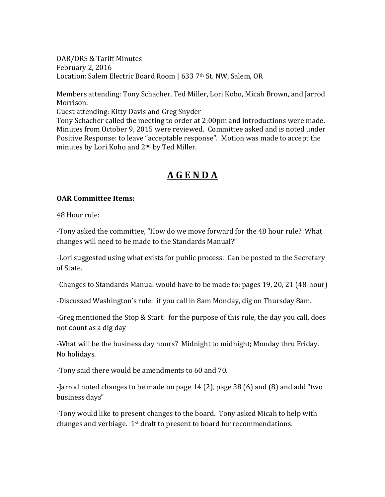OAR/ORS & Tariff Minutes February 2, 2016 Location: Salem Electric Board Room | 633 7th St. NW, Salem, OR

Members attending: Tony Schacher, Ted Miller, Lori Koho, Micah Brown, and Jarrod Morrison.

Guest attending: Kitty Davis and Greg Snyder

Tony Schacher called the meeting to order at 2:00pm and introductions were made. Minutes from October 9, 2015 were reviewed. Committee asked and is noted under Positive Response: to leave "acceptable response". Motion was made to accept the minutes by Lori Koho and 2nd by Ted Miller.

# **A G E N D A**

## **OAR Committee Items:**

48 Hour rule:

-Tony asked the committee, "How do we move forward for the 48 hour rule? What changes will need to be made to the Standards Manual?"

-Lori suggested using what exists for public process. Can be posted to the Secretary of State.

-Changes to Standards Manual would have to be made to: pages 19, 20, 21 (48-hour)

-Discussed Washington's rule: if you call in 8am Monday, dig on Thursday 8am.

-Greg mentioned the Stop & Start: for the purpose of this rule, the day you call, does not count as a dig day

-What will be the business day hours? Midnight to midnight; Monday thru Friday. No holidays.

-Tony said there would be amendments to 60 and 70.

-Jarrod noted changes to be made on page 14 (2), page 38 (6) and (8) and add "two business days"

-Tony would like to present changes to the board. Tony asked Micah to help with changes and verbiage.  $1<sup>st</sup>$  draft to present to board for recommendations.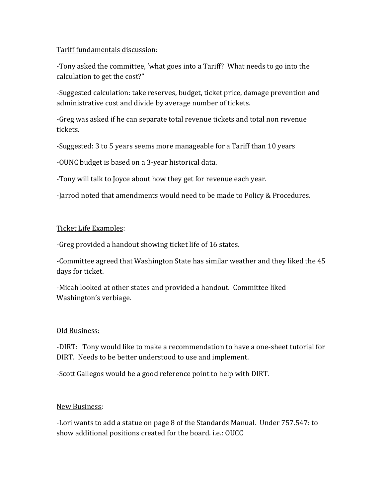## Tariff fundamentals discussion:

-Tony asked the committee, 'what goes into a Tariff? What needs to go into the calculation to get the cost?"

-Suggested calculation: take reserves, budget, ticket price, damage prevention and administrative cost and divide by average number of tickets.

-Greg was asked if he can separate total revenue tickets and total non revenue tickets.

-Suggested: 3 to 5 years seems more manageable for a Tariff than 10 years

-OUNC budget is based on a 3-year historical data.

-Tony will talk to Joyce about how they get for revenue each year.

-Jarrod noted that amendments would need to be made to Policy & Procedures.

## Ticket Life Examples:

-Greg provided a handout showing ticket life of 16 states.

-Committee agreed that Washington State has similar weather and they liked the 45 days for ticket.

-Micah looked at other states and provided a handout. Committee liked Washington's verbiage.

## Old Business:

-DIRT: Tony would like to make a recommendation to have a one-sheet tutorial for DIRT. Needs to be better understood to use and implement.

-Scott Gallegos would be a good reference point to help with DIRT.

## New Business:

-Lori wants to add a statue on page 8 of the Standards Manual. Under 757.547: to show additional positions created for the board. i.e.: OUCC